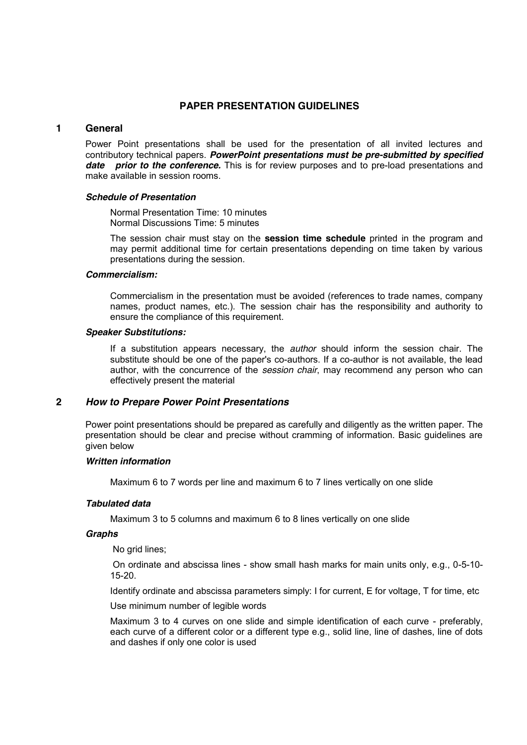# **PAPER PRESENTATION GUIDELINES**

### **1 General**

Power Point presentations shall be used for the presentation of all invited lectures and contributory technical papers. *PowerPoint presentations must be pre-submitted by specified*  **date prior to the conference.** This is for review purposes and to pre-load presentations and make available in session rooms.

### *Schedule of Presentation*

Normal Presentation Time: 10 minutes Normal Discussions Time: 5 minutes

The session chair must stay on the **session time schedule** printed in the program and may permit additional time for certain presentations depending on time taken by various presentations during the session.

### *Commercialism:*

Commercialism in the presentation must be avoided (references to trade names, company names, product names, etc.). The session chair has the responsibility and authority to ensure the compliance of this requirement.

### *Speaker Substitutions:*

If a substitution appears necessary, the *author* should inform the session chair. The substitute should be one of the paper's co-authors. If a co-author is not available, the lead author, with the concurrence of the *session chair*, may recommend any person who can effectively present the material

# **2** *How to Prepare Power Point Presentations*

Power point presentations should be prepared as carefully and diligently as the written paper. The presentation should be clear and precise without cramming of information. Basic guidelines are given below

# *Written information*

Maximum 6 to 7 words per line and maximum 6 to 7 lines vertically on one slide

# *Tabulated data*

Maximum 3 to 5 columns and maximum 6 to 8 lines vertically on one slide

### *Graphs*

No grid lines;

On ordinate and abscissa lines - show small hash marks for main units only, e.g., 0-5-10- 15-20.

Identify ordinate and abscissa parameters simply: I for current, E for voltage, T for time, etc

Use minimum number of legible words

Maximum 3 to 4 curves on one slide and simple identification of each curve - preferably, each curve of a different color or a different type e.g., solid line, line of dashes, line of dots and dashes if only one color is used